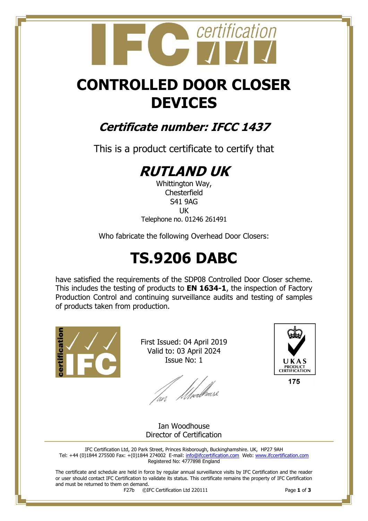## certification

## **CONTROLLED DOOR CLOSER DEVICES**

### **Certificate number: IFCC 1437**

This is a product certificate to certify that

## **RUTLAND UK**

Whittington Way, **Chesterfield** S41 9AG UK Telephone no. 01246 261491

Who fabricate the following Overhead Door Closers:

## **TS.9206 DABC**

have satisfied the requirements of the SDP08 Controlled Door Closer scheme. This includes the testing of products to **EN 1634-1**, the inspection of Factory Production Control and continuing surveillance audits and testing of samples of products taken from production.



First Issued: 04 April 2019 Valid to: 03 April 2024 Issue No: 1

an *Mwell*aase



175

Ian Woodhouse Director of Certification

IFC Certification Ltd, 20 Park Street, Princes Risborough, Buckinghamshire. UK, HP27 9AH Tel: +44 (0)1844 275500 Fax: +(0)1844 274002 E-mail[: info@ifccertification.com](mailto:info@ifccertification.com) Web: [www.ifccertification.com](http://www.ifccertification.com/) Registered No: 4777898 England

The certificate and schedule are held in force by regular annual surveillance visits by IFC Certification and the reader or user should contact IFC Certification to validate its status. This certificate remains the property of IFC Certification and must be returned to them on demand.<br> $F27b$   $\odot$ I

F27b ©IFC Certification Ltd 220111 Page **1** of **3**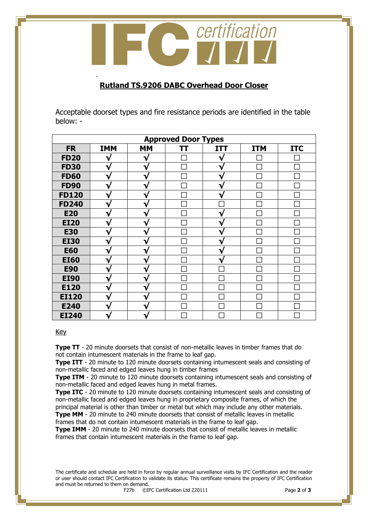

#### **Rutland TS.9206 DABC Overhead Door Closer**

Acceptable doorset types and fire resistance periods are identified in the table below: -

| <b>Approved Door Types</b> |            |           |    |            |            |            |  |
|----------------------------|------------|-----------|----|------------|------------|------------|--|
| <b>FR</b>                  | <b>IMM</b> | <b>MM</b> | TΤ | <b>ITT</b> | <b>ITM</b> | <b>ITC</b> |  |
| <b>FD20</b>                | V          |           |    | v          |            |            |  |
| <b>FD30</b>                | W          |           |    | 7          |            |            |  |
| <b>FD60</b>                | v          | ∿         |    |            |            |            |  |
| <b>FD90</b>                | V          | ٦         |    | ٦ν         |            |            |  |
| <b>FD120</b>               | V          | v         |    | ٦ν         |            |            |  |
| <b>FD240</b>               | V          | ٦         |    |            |            |            |  |
| <b>E20</b>                 |            |           |    |            |            |            |  |
| <b>EI20</b>                | V          |           |    | v          |            |            |  |
| <b>E30</b>                 | ٦          |           |    | 7          |            |            |  |
| <b>EI30</b>                | ٦.         |           |    | ┓          |            |            |  |
| <b>E60</b>                 | V          | T.        |    | ٦ν         |            |            |  |
| <b>EI60</b>                | V          | v         |    | ٦ν         |            |            |  |
| <b>E90</b>                 | V          | ∿         |    |            |            |            |  |
| <b>EI90</b>                |            | v         |    |            |            |            |  |
| E120                       | v          |           |    |            |            |            |  |
| <b>EI120</b>               |            |           |    |            |            |            |  |
| E240                       |            |           |    |            |            |            |  |
| <b>EI240</b>               |            |           |    |            |            |            |  |

#### Key

-

**Type TT** - 20 minute doorsets that consist of non-metallic leaves in timber frames that do not contain intumescent materials in the frame to leaf gap.

**Type ITT** - 20 minute to 120 minute doorsets containing intumescent seals and consisting of non-metallic faced and edged leaves hung in timber frames

**Type ITM** - 20 minute to 120 minute doorsets containing intumescent seals and consisting of non-metallic faced and edged leaves hung in metal frames.

**Type ITC** - 20 minute to 120 minute doorsets containing intumescent seals and consisting of non-metallic faced and edged leaves hung in proprietary composite frames, of which the principal material is other than timber or metal but which may include any other materials. **Type MM** - 20 minute to 240 minute doorsets that consist of metallic leaves in metallic

frames that do not contain intumescent materials in the frame to leaf gap.

**Type IMM** - 20 minute to 240 minute doorsets that consist of metallic leaves in metallic frames that contain intumescent materials in the frame to leaf gap.

The certificate and schedule are held in force by regular annual surveillance visits by IFC Certification and the reader or user should contact IFC Certification to validate its status. This certificate remains the property of IFC Certification and must be returned to them on demand.<br> $F27b$   $\odot$ I

F27b ©IFC Certification Ltd 220111 Page **2** of **3**